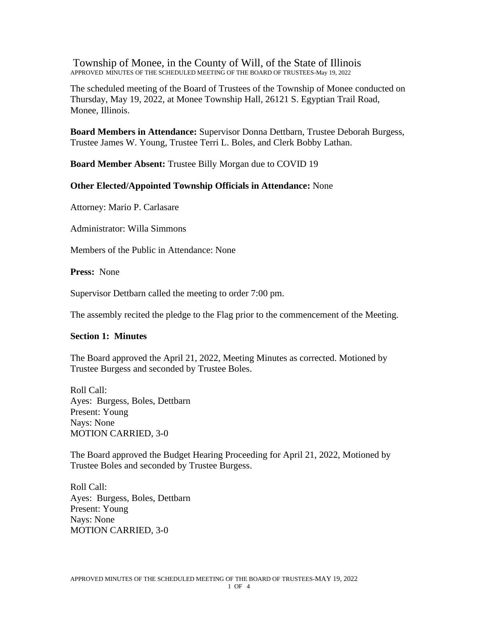Township of Monee, in the County of Will, of the State of Illinois APPROVED MINUTES OF THE SCHEDULED MEETING OF THE BOARD OF TRUSTEES-May 19, 2022

The scheduled meeting of the Board of Trustees of the Township of Monee conducted on Thursday, May 19, 2022, at Monee Township Hall, 26121 S. Egyptian Trail Road, Monee, Illinois.

**Board Members in Attendance:** Supervisor Donna Dettbarn, Trustee Deborah Burgess, Trustee James W. Young, Trustee Terri L. Boles, and Clerk Bobby Lathan.

**Board Member Absent:** Trustee Billy Morgan due to COVID 19

### **Other Elected/Appointed Township Officials in Attendance:** None

Attorney: Mario P. Carlasare

Administrator: Willa Simmons

Members of the Public in Attendance: None

**Press:** None

Supervisor Dettbarn called the meeting to order 7:00 pm.

The assembly recited the pledge to the Flag prior to the commencement of the Meeting.

#### **Section 1: Minutes**

The Board approved the April 21, 2022, Meeting Minutes as corrected. Motioned by Trustee Burgess and seconded by Trustee Boles.

Roll Call: Ayes: Burgess, Boles, Dettbarn Present: Young Nays: None MOTION CARRIED, 3-0

The Board approved the Budget Hearing Proceeding for April 21, 2022, Motioned by Trustee Boles and seconded by Trustee Burgess.

Roll Call: Ayes: Burgess, Boles, Dettbarn Present: Young Nays: None MOTION CARRIED, 3-0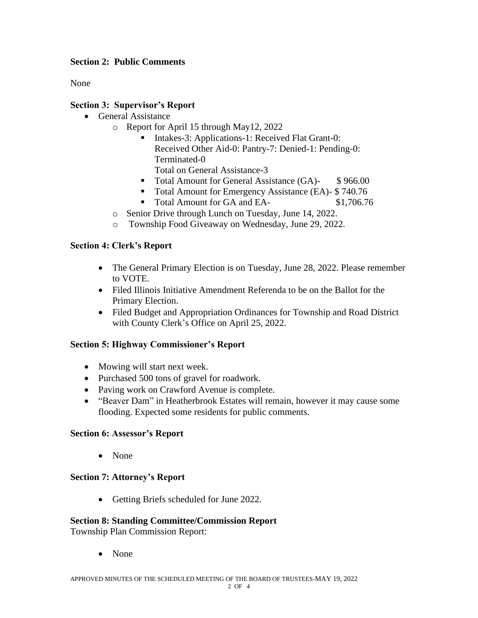# **Section 2: Public Comments**

None

# **Section 3: Supervisor's Report**

- General Assistance
	- o Report for April 15 through May12, 2022
		- Intakes-3: Applications-1: Received Flat Grant-0: Received Other Aid-0: Pantry-7: Denied-1: Pending-0: Terminated-0 Total on General Assistance-3
		- Total Amount for General Assistance (GA)- \$966.00
		- Total Amount for Emergency Assistance (EA)- \$740.76
		- Total Amount for GA and EA- \$1,706.76
	- o Senior Drive through Lunch on Tuesday, June 14, 2022.
	- o Township Food Giveaway on Wednesday, June 29, 2022.

# **Section 4: Clerk's Report**

- The General Primary Election is on Tuesday, June 28, 2022. Please remember to VOTE.
- Filed Illinois Initiative Amendment Referenda to be on the Ballot for the Primary Election.
- Filed Budget and Appropriation Ordinances for Township and Road District with County Clerk's Office on April 25, 2022.

# **Section 5: Highway Commissioner's Report**

- Mowing will start next week.
- Purchased 500 tons of gravel for roadwork.
- Paving work on Crawford Avenue is complete.
- "Beaver Dam" in Heatherbrook Estates will remain, however it may cause some flooding. Expected some residents for public comments.

# **Section 6: Assessor's Report**

• None

# **Section 7: Attorney's Report**

• Getting Briefs scheduled for June 2022.

#### **Section 8: Standing Committee/Commission Report**

Township Plan Commission Report:

• None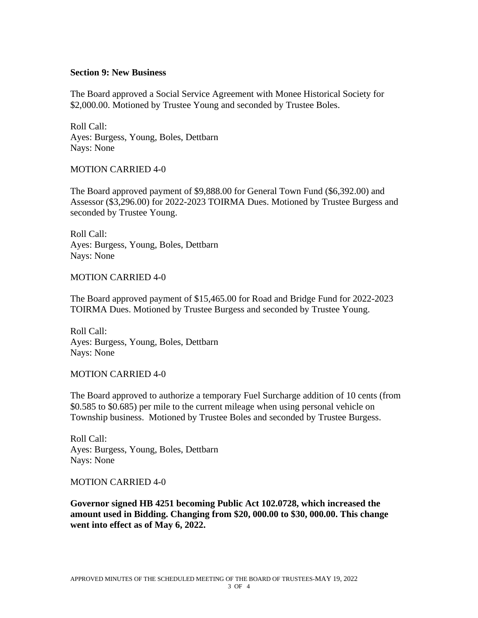#### **Section 9: New Business**

The Board approved a Social Service Agreement with Monee Historical Society for \$2,000.00. Motioned by Trustee Young and seconded by Trustee Boles.

Roll Call: Ayes: Burgess, Young, Boles, Dettbarn Nays: None

### MOTION CARRIED 4-0

The Board approved payment of \$9,888.00 for General Town Fund (\$6,392.00) and Assessor (\$3,296.00) for 2022-2023 TOIRMA Dues. Motioned by Trustee Burgess and seconded by Trustee Young.

Roll Call: Ayes: Burgess, Young, Boles, Dettbarn Nays: None

### MOTION CARRIED 4-0

The Board approved payment of \$15,465.00 for Road and Bridge Fund for 2022-2023 TOIRMA Dues. Motioned by Trustee Burgess and seconded by Trustee Young.

Roll Call: Ayes: Burgess, Young, Boles, Dettbarn Nays: None

#### MOTION CARRIED 4-0

The Board approved to authorize a temporary Fuel Surcharge addition of 10 cents (from \$0.585 to \$0.685) per mile to the current mileage when using personal vehicle on Township business. Motioned by Trustee Boles and seconded by Trustee Burgess.

Roll Call: Ayes: Burgess, Young, Boles, Dettbarn Nays: None

#### MOTION CARRIED 4-0

**Governor signed HB 4251 becoming Public Act 102.0728, which increased the amount used in Bidding. Changing from \$20, 000.00 to \$30, 000.00. This change went into effect as of May 6, 2022.**